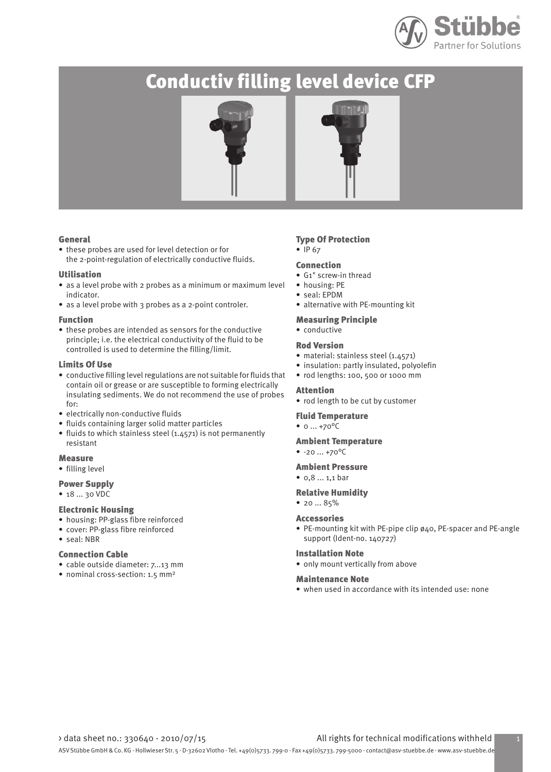

# Conductiv filling level device CFP





## General

• these probes are used for level detection or for the 2-point-regulation of electrically conductive fluids.

## Utilisation

- as a level probe with 2 probes as a minimum or maximum level indicator.
- as a level probe with 3 probes as a 2-point controler.

## Function

• these probes are intended as sensors for the conductive principle; i.e. the electrical conductivity of the fluid to be controlled is used to determine the filling/limit.

## Limits Of Use

- conductive filling level regulations are not suitable for fluids that contain oil or grease or are susceptible to forming electrically insulating sediments. We do not recommend the use of probes for:
- electrically non-conductive fluids
- fluids containing larger solid matter particles
- fluids to which stainless steel (1.4571) is not permanently resistant

## **Measure**

• filling level

## Power Supply

• 18 ... 30 VDC

## Electronic Housing

- housing: PP-glass fibre reinforced
- cover: PP-glass fibre reinforced
- seal: NBR

## Connection Cable

- cable outside diameter: 7...13 mm
- nominal cross-section: 1.5 mm²

## Type Of Protection

• IP 67

## Connection

- G1" screw-in thread
- housing: PE
- seal: EPDM
- alternative with PE-mounting kit
- Measuring Principle
- conductive

## Rod Version

- material: stainless steel (1.4571)
- insulation: partly insulated, polyolefin
- rod lengths: 100, 500 or 1000 mm

## Attention

• rod length to be cut by customer

## Fluid Temperature

 $• 0 ... +70$ <sup>o</sup>C

- Ambient Temperature
- $-20...+70$ <sup>o</sup>C

## Ambient Pressure

• 0,8 ... 1,1 bar

## Relative Humidity

• 20 ... 85%

### Accessories

• PE-mounting kit with PE-pipe clip ø40, PE-spacer and PE-angle support (Ident-no. 140727)

## Installation Note

• only mount vertically from above

### Maintenance Note

• when used in accordance with its intended use: none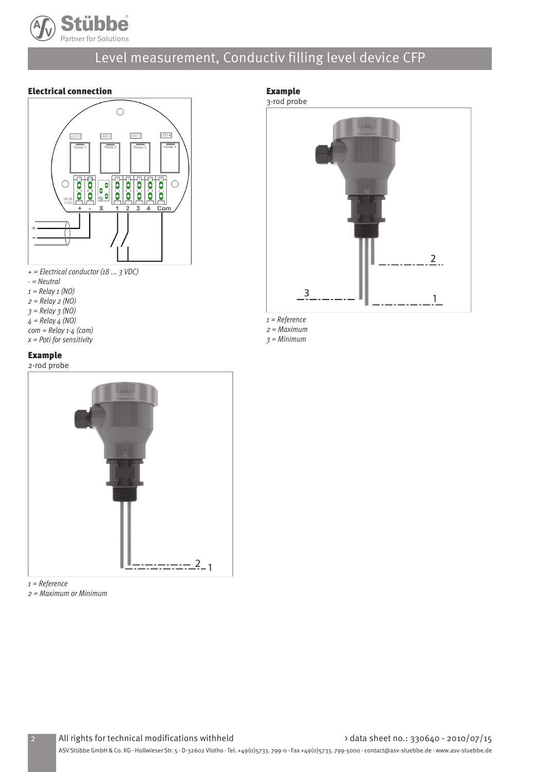

# Level measurement, Conductiv filling level device CFP

## Electrical connection





- = Neutral
- $1 =$  Relay  $1 (NO)$
- $2 =$  Relay  $2 (NO)$
- $3$  = Relay  $3$  (NO)
- $4 =$  Relay  $4$  (NO)
- $com = Relay 1-4$  (com)
- $x$  = Poti for sensitivity

## Example

2-rod probe



 $1 =$ Reference

2 = Maximum or Minimum

## Example

3-rod probe



1 = Reference

2 = Maximum  $3 = Minimum$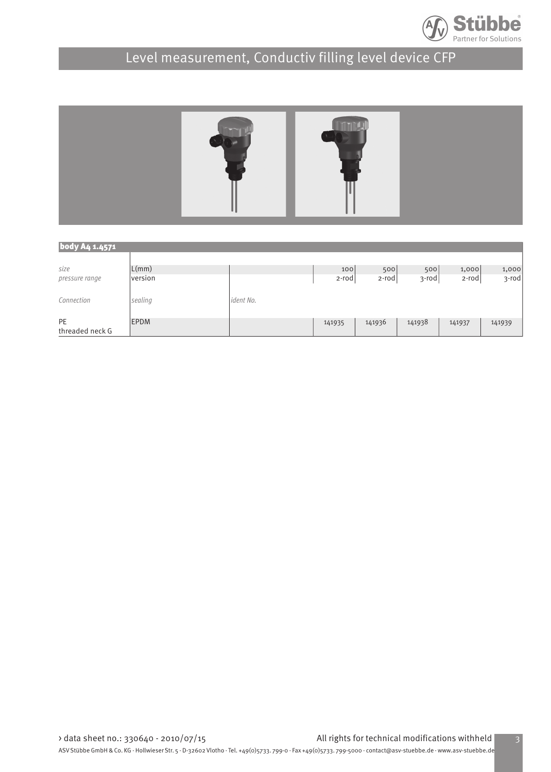

# Level measurement, Conductiv filling level device CFP



| body A4 1.4571        |             |           |          |          |        |          |        |  |  |  |  |
|-----------------------|-------------|-----------|----------|----------|--------|----------|--------|--|--|--|--|
| size                  | L(mm)       |           | 100      | 500      | 500    | 1,000    | 1,000  |  |  |  |  |
| pressure range        | version     |           | $2$ -rod | $2$ -rod | 3-rodj | $2$ -rod | 3-rod  |  |  |  |  |
| Connection            | sealing     | ident No. |          |          |        |          |        |  |  |  |  |
| PE<br>threaded neck G | <b>EPDM</b> |           | 141935   | 141936   | 141938 | 141937   | 141939 |  |  |  |  |